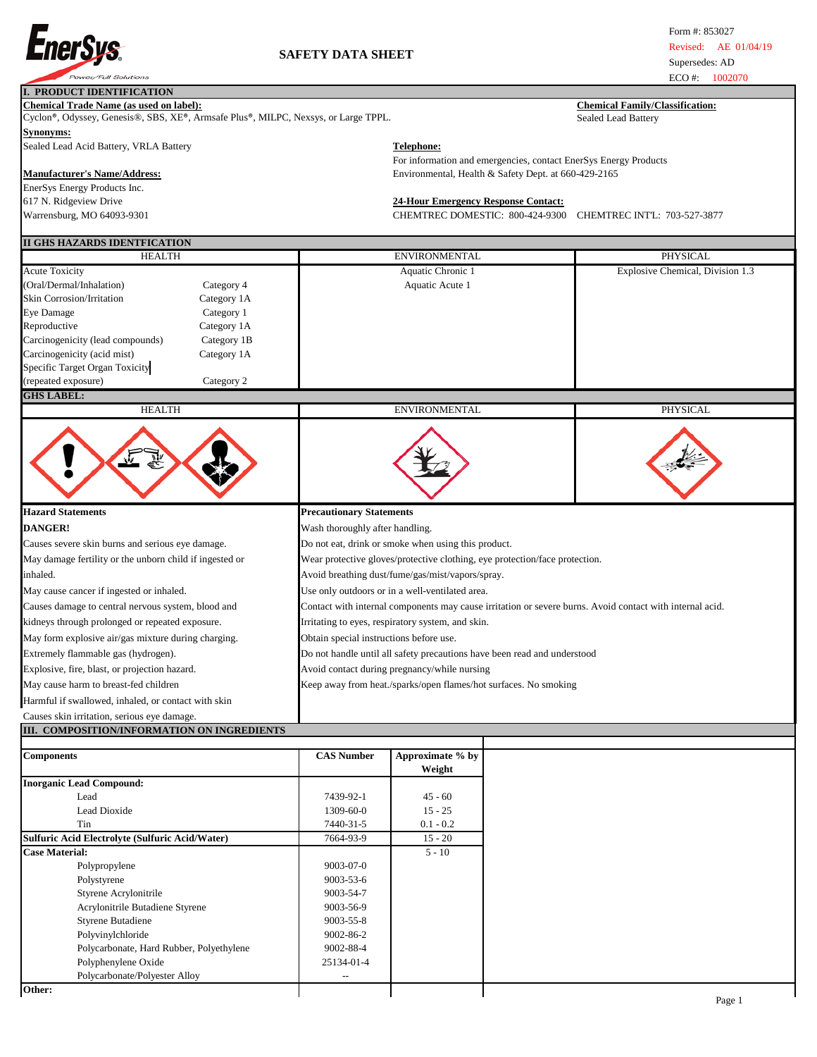

|                                                                                                                                      |             |                                                                  |                                                                       |                                                                             | LU 77.<br>1002010                                                                                        |  |  |  |
|--------------------------------------------------------------------------------------------------------------------------------------|-------------|------------------------------------------------------------------|-----------------------------------------------------------------------|-----------------------------------------------------------------------------|----------------------------------------------------------------------------------------------------------|--|--|--|
| <b>I. PRODUCT IDENTIFICATION</b>                                                                                                     |             |                                                                  |                                                                       |                                                                             |                                                                                                          |  |  |  |
| <b>Chemical Trade Name (as used on label):</b><br>Cyclon®, Odyssey, Genesis®, SBS, XE®, Armsafe Plus®, MILPC, Nexsys, or Large TPPL. |             |                                                                  | <b>Chemical Family/Classification:</b><br>Sealed Lead Battery         |                                                                             |                                                                                                          |  |  |  |
| Synonyms:                                                                                                                            |             |                                                                  |                                                                       |                                                                             |                                                                                                          |  |  |  |
|                                                                                                                                      |             |                                                                  |                                                                       |                                                                             |                                                                                                          |  |  |  |
| Sealed Lead Acid Battery, VRLA Battery                                                                                               |             |                                                                  | <b>Telephone:</b>                                                     |                                                                             |                                                                                                          |  |  |  |
|                                                                                                                                      |             |                                                                  |                                                                       | For information and emergencies, contact EnerSys Energy Products            |                                                                                                          |  |  |  |
| <b>Manufacturer's Name/Address:</b>                                                                                                  |             |                                                                  |                                                                       | Environmental, Health & Safety Dept. at 660-429-2165                        |                                                                                                          |  |  |  |
| EnerSys Energy Products Inc.                                                                                                         |             |                                                                  |                                                                       |                                                                             |                                                                                                          |  |  |  |
| 617 N. Ridgeview Drive                                                                                                               |             |                                                                  | <b>24-Hour Emergency Response Contact:</b>                            |                                                                             |                                                                                                          |  |  |  |
| Warrensburg, MO 64093-9301                                                                                                           |             |                                                                  | CHEMTREC DOMESTIC: 800-424-9300<br><b>CHEMTREC INTL: 703-527-3877</b> |                                                                             |                                                                                                          |  |  |  |
|                                                                                                                                      |             |                                                                  |                                                                       |                                                                             |                                                                                                          |  |  |  |
| II GHS HAZARDS IDENTFICATION                                                                                                         |             |                                                                  |                                                                       |                                                                             |                                                                                                          |  |  |  |
| <b>HEALTH</b>                                                                                                                        |             |                                                                  | ENVIRONMENTAL                                                         |                                                                             | PHYSICAL                                                                                                 |  |  |  |
| <b>Acute Toxicity</b>                                                                                                                |             |                                                                  | Aquatic Chronic 1                                                     |                                                                             | Explosive Chemical, Division 1.3                                                                         |  |  |  |
| (Oral/Dermal/Inhalation)                                                                                                             | Category 4  |                                                                  | Aquatic Acute 1                                                       |                                                                             |                                                                                                          |  |  |  |
| <b>Skin Corrosion/Irritation</b>                                                                                                     | Category 1A |                                                                  |                                                                       |                                                                             |                                                                                                          |  |  |  |
| Eye Damage                                                                                                                           | Category 1  |                                                                  |                                                                       |                                                                             |                                                                                                          |  |  |  |
| Reproductive                                                                                                                         | Category 1A |                                                                  |                                                                       |                                                                             |                                                                                                          |  |  |  |
| Carcinogenicity (lead compounds)                                                                                                     | Category 1B |                                                                  |                                                                       |                                                                             |                                                                                                          |  |  |  |
| Carcinogenicity (acid mist)                                                                                                          | Category 1A |                                                                  |                                                                       |                                                                             |                                                                                                          |  |  |  |
| Specific Target Organ Toxicity                                                                                                       |             |                                                                  |                                                                       |                                                                             |                                                                                                          |  |  |  |
|                                                                                                                                      | Category 2  |                                                                  |                                                                       |                                                                             |                                                                                                          |  |  |  |
| (repeated exposure)<br><b>GHS LABEL:</b>                                                                                             |             |                                                                  |                                                                       |                                                                             |                                                                                                          |  |  |  |
| <b>HEALTH</b>                                                                                                                        |             |                                                                  | <b>ENVIRONMENTAL</b>                                                  |                                                                             | PHYSICAL                                                                                                 |  |  |  |
|                                                                                                                                      |             |                                                                  |                                                                       |                                                                             |                                                                                                          |  |  |  |
|                                                                                                                                      |             |                                                                  |                                                                       |                                                                             |                                                                                                          |  |  |  |
| <b>Hazard Statements</b>                                                                                                             |             | <b>Precautionary Statements</b>                                  |                                                                       |                                                                             |                                                                                                          |  |  |  |
| <b>DANGER!</b>                                                                                                                       |             | Wash thoroughly after handling.                                  |                                                                       |                                                                             |                                                                                                          |  |  |  |
|                                                                                                                                      |             |                                                                  |                                                                       |                                                                             |                                                                                                          |  |  |  |
| Causes severe skin burns and serious eye damage.                                                                                     |             |                                                                  | Do not eat, drink or smoke when using this product.                   |                                                                             |                                                                                                          |  |  |  |
| May damage fertility or the unborn child if ingested or                                                                              |             |                                                                  |                                                                       | Wear protective gloves/protective clothing, eye protection/face protection. |                                                                                                          |  |  |  |
| inhaled.                                                                                                                             |             |                                                                  | Avoid breathing dust/fume/gas/mist/vapors/spray.                      |                                                                             |                                                                                                          |  |  |  |
| May cause cancer if ingested or inhaled.                                                                                             |             |                                                                  | Use only outdoors or in a well-ventilated area.                       |                                                                             |                                                                                                          |  |  |  |
| Causes damage to central nervous system, blood and                                                                                   |             |                                                                  |                                                                       |                                                                             | Contact with internal components may cause irritation or severe burns. Avoid contact with internal acid. |  |  |  |
|                                                                                                                                      |             |                                                                  |                                                                       |                                                                             |                                                                                                          |  |  |  |
| kidneys through prolonged or repeated exposure.                                                                                      |             |                                                                  | Irritating to eyes, respiratory system, and skin.                     |                                                                             |                                                                                                          |  |  |  |
| May form explosive air/gas mixture during charging.                                                                                  |             | Obtain special instructions before use.                          |                                                                       |                                                                             |                                                                                                          |  |  |  |
| Extremely flammable gas (hydrogen).                                                                                                  |             |                                                                  |                                                                       | Do not handle until all safety precautions have been read and understood    |                                                                                                          |  |  |  |
| Explosive, fire, blast, or projection hazard.                                                                                        |             |                                                                  | Avoid contact during pregnancy/while nursing                          |                                                                             |                                                                                                          |  |  |  |
| May cause harm to breast-fed children                                                                                                |             | Keep away from heat./sparks/open flames/hot surfaces. No smoking |                                                                       |                                                                             |                                                                                                          |  |  |  |
|                                                                                                                                      |             |                                                                  |                                                                       |                                                                             |                                                                                                          |  |  |  |
| Harmful if swallowed, inhaled, or contact with skin                                                                                  |             |                                                                  |                                                                       |                                                                             |                                                                                                          |  |  |  |
| Causes skin irritation, serious eye damage.                                                                                          |             |                                                                  |                                                                       |                                                                             |                                                                                                          |  |  |  |
| III. COMPOSITION/INFORMATION ON INGREDIENTS                                                                                          |             |                                                                  |                                                                       |                                                                             |                                                                                                          |  |  |  |
| <b>Components</b>                                                                                                                    |             | <b>CAS Number</b>                                                | Approximate % by<br>Weight                                            |                                                                             |                                                                                                          |  |  |  |
| <b>Inorganic Lead Compound:</b>                                                                                                      |             |                                                                  |                                                                       |                                                                             |                                                                                                          |  |  |  |
| Lead                                                                                                                                 |             | 7439-92-1                                                        | $45 - 60$                                                             |                                                                             |                                                                                                          |  |  |  |
|                                                                                                                                      |             |                                                                  |                                                                       |                                                                             |                                                                                                          |  |  |  |
| Lead Dioxide                                                                                                                         |             | 1309-60-0                                                        | $15 - 25$                                                             |                                                                             |                                                                                                          |  |  |  |
| Tin                                                                                                                                  |             | 7440-31-5                                                        | $0.1 - 0.2$                                                           |                                                                             |                                                                                                          |  |  |  |
| Sulfuric Acid Electrolyte (Sulfuric Acid/Water)                                                                                      |             | 7664-93-9                                                        | $15 - 20$                                                             |                                                                             |                                                                                                          |  |  |  |
| <b>Case Material:</b>                                                                                                                |             |                                                                  | $5 - 10$                                                              |                                                                             |                                                                                                          |  |  |  |
| Polypropylene                                                                                                                        |             | 9003-07-0                                                        |                                                                       |                                                                             |                                                                                                          |  |  |  |
| Polystyrene                                                                                                                          |             | 9003-53-6                                                        |                                                                       |                                                                             |                                                                                                          |  |  |  |

Styrene Butadiene

Polyphenylene Oxide

Polystyrene 9003-53-6<br>Styrene Acrylonitrile 9003-54-7 Styrene Acrylonitrile Butadiene Styrene 19003-54-7 Acrylonitrile Butadiene Styrene 19003-56-9 Acrylonitrile Butadiene Styrene<br>
Styrene Butadiene<br>
9003-55-8

Polyvinylchloride 9002-86-2 Polycarbonate, Hard Rubber, Polyethylene 9002-88-4

Polycarbonate/Polyester Alloy --

Page 1

**Other:**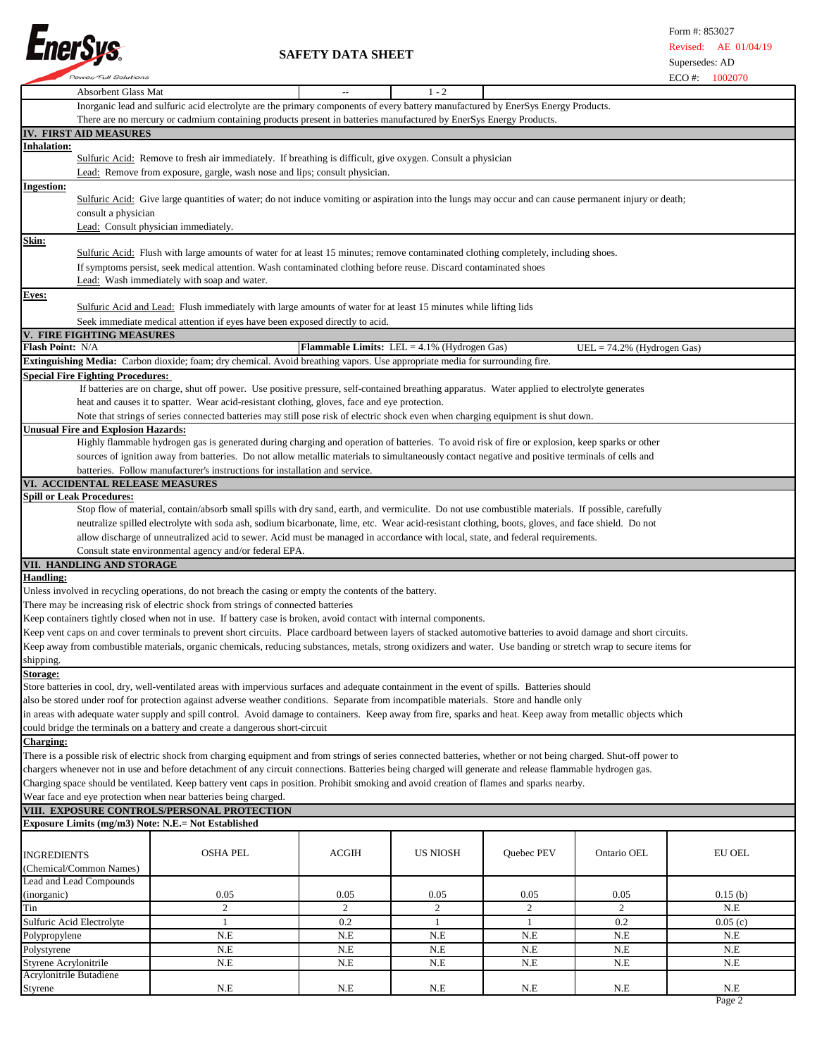

|                         | <b>Power/Full Solutions</b>                |                                                                                                                                                                     |              |                                                       |            |                               | $ECO \#$<br>1002070 |  |
|-------------------------|--------------------------------------------|---------------------------------------------------------------------------------------------------------------------------------------------------------------------|--------------|-------------------------------------------------------|------------|-------------------------------|---------------------|--|
|                         | <b>Absorbent Glass Mat</b>                 |                                                                                                                                                                     |              | $1 - 2$                                               |            |                               |                     |  |
|                         |                                            | Inorganic lead and sulfuric acid electrolyte are the primary components of every battery manufactured by EnerSys Energy Products.                                   |              |                                                       |            |                               |                     |  |
|                         |                                            |                                                                                                                                                                     |              |                                                       |            |                               |                     |  |
|                         |                                            | There are no mercury or cadmium containing products present in batteries manufactured by EnerSys Energy Products.                                                   |              |                                                       |            |                               |                     |  |
|                         | IV. FIRST AID MEASURES                     |                                                                                                                                                                     |              |                                                       |            |                               |                     |  |
| <b>Inhalation:</b>      |                                            |                                                                                                                                                                     |              |                                                       |            |                               |                     |  |
|                         |                                            | Sulfuric Acid: Remove to fresh air immediately. If breathing is difficult, give oxygen. Consult a physician                                                         |              |                                                       |            |                               |                     |  |
|                         |                                            | Lead: Remove from exposure, gargle, wash nose and lips; consult physician.                                                                                          |              |                                                       |            |                               |                     |  |
|                         |                                            |                                                                                                                                                                     |              |                                                       |            |                               |                     |  |
| <b>Ingestion:</b>       |                                            |                                                                                                                                                                     |              |                                                       |            |                               |                     |  |
|                         |                                            | Sulfuric Acid: Give large quantities of water; do not induce vomiting or aspiration into the lungs may occur and can cause permanent injury or death;               |              |                                                       |            |                               |                     |  |
|                         | consult a physician                        |                                                                                                                                                                     |              |                                                       |            |                               |                     |  |
|                         |                                            | Lead: Consult physician immediately.                                                                                                                                |              |                                                       |            |                               |                     |  |
|                         |                                            |                                                                                                                                                                     |              |                                                       |            |                               |                     |  |
| Skin:                   |                                            |                                                                                                                                                                     |              |                                                       |            |                               |                     |  |
|                         |                                            | Sulfuric Acid: Flush with large amounts of water for at least 15 minutes; remove contaminated clothing completely, including shoes.                                 |              |                                                       |            |                               |                     |  |
|                         |                                            | If symptoms persist, seek medical attention. Wash contaminated clothing before reuse. Discard contaminated shoes                                                    |              |                                                       |            |                               |                     |  |
|                         |                                            | Lead: Wash immediately with soap and water.                                                                                                                         |              |                                                       |            |                               |                     |  |
|                         |                                            |                                                                                                                                                                     |              |                                                       |            |                               |                     |  |
| Eyes:                   |                                            |                                                                                                                                                                     |              |                                                       |            |                               |                     |  |
|                         |                                            | Sulfuric Acid and Lead: Flush immediately with large amounts of water for at least 15 minutes while lifting lids                                                    |              |                                                       |            |                               |                     |  |
|                         |                                            | Seek immediate medical attention if eyes have been exposed directly to acid.                                                                                        |              |                                                       |            |                               |                     |  |
|                         | <b>FIRE FIGHTING MEASURES</b>              |                                                                                                                                                                     |              |                                                       |            |                               |                     |  |
|                         |                                            |                                                                                                                                                                     |              |                                                       |            |                               |                     |  |
| Flash Point: N/A        |                                            |                                                                                                                                                                     |              | <b>Flammable Limits:</b> LEL = $4.1\%$ (Hydrogen Gas) |            | UEL = $74.2\%$ (Hydrogen Gas) |                     |  |
|                         |                                            | Extinguishing Media: Carbon dioxide; foam; dry chemical. Avoid breathing vapors. Use appropriate media for surrounding fire.                                        |              |                                                       |            |                               |                     |  |
|                         | <b>Special Fire Fighting Procedures:</b>   |                                                                                                                                                                     |              |                                                       |            |                               |                     |  |
|                         |                                            | If batteries are on charge, shut off power. Use positive pressure, self-contained breathing apparatus. Water applied to electrolyte generates                       |              |                                                       |            |                               |                     |  |
|                         |                                            |                                                                                                                                                                     |              |                                                       |            |                               |                     |  |
|                         |                                            | heat and causes it to spatter. Wear acid-resistant clothing, gloves, face and eye protection.                                                                       |              |                                                       |            |                               |                     |  |
|                         |                                            | Note that strings of series connected batteries may still pose risk of electric shock even when charging equipment is shut down.                                    |              |                                                       |            |                               |                     |  |
|                         | <b>Unusual Fire and Explosion Hazards:</b> |                                                                                                                                                                     |              |                                                       |            |                               |                     |  |
|                         |                                            |                                                                                                                                                                     |              |                                                       |            |                               |                     |  |
|                         |                                            | Highly flammable hydrogen gas is generated during charging and operation of batteries. To avoid risk of fire or explosion, keep sparks or other                     |              |                                                       |            |                               |                     |  |
|                         |                                            | sources of ignition away from batteries. Do not allow metallic materials to simultaneously contact negative and positive terminals of cells and                     |              |                                                       |            |                               |                     |  |
|                         |                                            | batteries. Follow manufacturer's instructions for installation and service.                                                                                         |              |                                                       |            |                               |                     |  |
|                         | VI. ACCIDENTAL RELEASE MEASURES            |                                                                                                                                                                     |              |                                                       |            |                               |                     |  |
|                         |                                            |                                                                                                                                                                     |              |                                                       |            |                               |                     |  |
|                         | <b>Spill or Leak Procedures:</b>           |                                                                                                                                                                     |              |                                                       |            |                               |                     |  |
|                         |                                            | Stop flow of material, contain/absorb small spills with dry sand, earth, and vermiculite. Do not use combustible materials. If possible, carefully                  |              |                                                       |            |                               |                     |  |
|                         |                                            | neutralize spilled electrolyte with soda ash, sodium bicarbonate, lime, etc. Wear acid-resistant clothing, boots, gloves, and face shield. Do not                   |              |                                                       |            |                               |                     |  |
|                         |                                            | allow discharge of unneutralized acid to sewer. Acid must be managed in accordance with local, state, and federal requirements.                                     |              |                                                       |            |                               |                     |  |
|                         |                                            |                                                                                                                                                                     |              |                                                       |            |                               |                     |  |
|                         |                                            | Consult state environmental agency and/or federal EPA.                                                                                                              |              |                                                       |            |                               |                     |  |
|                         | VII. HANDLING AND STORAGE                  |                                                                                                                                                                     |              |                                                       |            |                               |                     |  |
| <b>Handling:</b>        |                                            |                                                                                                                                                                     |              |                                                       |            |                               |                     |  |
|                         |                                            | Unless involved in recycling operations, do not breach the casing or empty the contents of the battery.                                                             |              |                                                       |            |                               |                     |  |
|                         |                                            |                                                                                                                                                                     |              |                                                       |            |                               |                     |  |
|                         |                                            | There may be increasing risk of electric shock from strings of connected batteries                                                                                  |              |                                                       |            |                               |                     |  |
|                         |                                            | Keep containers tightly closed when not in use. If battery case is broken, avoid contact with internal components.                                                  |              |                                                       |            |                               |                     |  |
|                         |                                            | Keep vent caps on and cover terminals to prevent short circuits. Place cardboard between layers of stacked automotive batteries to avoid damage and short circuits. |              |                                                       |            |                               |                     |  |
|                         |                                            |                                                                                                                                                                     |              |                                                       |            |                               |                     |  |
|                         |                                            | Keep away from combustible materials, organic chemicals, reducing substances, metals, strong oxidizers and water. Use banding or stretch wrap to secure items for   |              |                                                       |            |                               |                     |  |
| shipping.               |                                            |                                                                                                                                                                     |              |                                                       |            |                               |                     |  |
| Storage:                |                                            |                                                                                                                                                                     |              |                                                       |            |                               |                     |  |
|                         |                                            | Store batteries in cool, dry, well-ventilated areas with impervious surfaces and adequate containment in the event of spills. Batteries should                      |              |                                                       |            |                               |                     |  |
|                         |                                            |                                                                                                                                                                     |              |                                                       |            |                               |                     |  |
|                         |                                            | also be stored under roof for protection against adverse weather conditions. Separate from incompatible materials. Store and handle only                            |              |                                                       |            |                               |                     |  |
|                         |                                            | in areas with adequate water supply and spill control. Avoid damage to containers. Keep away from fire, sparks and heat. Keep away from metallic objects which      |              |                                                       |            |                               |                     |  |
|                         |                                            | could bridge the terminals on a battery and create a dangerous short-circuit                                                                                        |              |                                                       |            |                               |                     |  |
|                         |                                            |                                                                                                                                                                     |              |                                                       |            |                               |                     |  |
| <b>Charging:</b>        |                                            |                                                                                                                                                                     |              |                                                       |            |                               |                     |  |
|                         |                                            | There is a possible risk of electric shock from charging equipment and from strings of series connected batteries, whether or not being charged. Shut-off power to  |              |                                                       |            |                               |                     |  |
|                         |                                            | chargers whenever not in use and before detachment of any circuit connections. Batteries being charged will generate and release flammable hydrogen gas.            |              |                                                       |            |                               |                     |  |
|                         |                                            | Charging space should be ventilated. Keep battery vent caps in position. Prohibit smoking and avoid creation of flames and sparks nearby.                           |              |                                                       |            |                               |                     |  |
|                         |                                            |                                                                                                                                                                     |              |                                                       |            |                               |                     |  |
|                         |                                            | Wear face and eye protection when near batteries being charged.                                                                                                     |              |                                                       |            |                               |                     |  |
|                         |                                            | VIII. EXPOSURE CONTROLS/PERSONAL PROTECTION                                                                                                                         |              |                                                       |            |                               |                     |  |
|                         |                                            | Exposure Limits (mg/m3) Note: N.E.= Not Established                                                                                                                 |              |                                                       |            |                               |                     |  |
|                         |                                            |                                                                                                                                                                     |              |                                                       |            |                               |                     |  |
|                         |                                            |                                                                                                                                                                     |              |                                                       |            |                               |                     |  |
| <b>INGREDIENTS</b>      |                                            | OSHA PEL                                                                                                                                                            | <b>ACGIH</b> | <b>US NIOSH</b>                                       | Quebec PEV | Ontario OEL                   | EU OEL              |  |
|                         | (Chemical/Common Names)                    |                                                                                                                                                                     |              |                                                       |            |                               |                     |  |
|                         |                                            |                                                                                                                                                                     |              |                                                       |            |                               |                     |  |
|                         | Lead and Lead Compounds                    |                                                                                                                                                                     |              |                                                       |            |                               |                     |  |
| (inorganic)             |                                            | 0.05                                                                                                                                                                | 0.05         | 0.05                                                  | 0.05       | 0.05                          | 0.15(b)             |  |
| Tin                     |                                            | 2                                                                                                                                                                   | 2            | 2                                                     | 2          | 2                             | N.E                 |  |
|                         | Sulfuric Acid Electrolyte                  | $\mathbf{1}$                                                                                                                                                        | 0.2          | 1                                                     | 1          | 0.2                           | 0.05(c)             |  |
|                         |                                            |                                                                                                                                                                     |              |                                                       |            |                               |                     |  |
| Polypropylene           |                                            | N.E                                                                                                                                                                 | N.E          | N.E                                                   | N.E        | N.E                           | N.E                 |  |
| Polystyrene             |                                            | N.E                                                                                                                                                                 | N.E          | N.E                                                   | N.E        | N.E                           | N.E                 |  |
| Styrene Acrylonitrile   |                                            | N.E                                                                                                                                                                 | N.E          | N.E                                                   | N.E        | N.E                           | N.E                 |  |
| Acrylonitrile Butadiene |                                            |                                                                                                                                                                     |              |                                                       |            |                               |                     |  |
|                         |                                            |                                                                                                                                                                     |              |                                                       |            |                               |                     |  |
| Styrene                 |                                            | N.E                                                                                                                                                                 | N.E          | N.E                                                   | N.E        | N.E                           | N.E                 |  |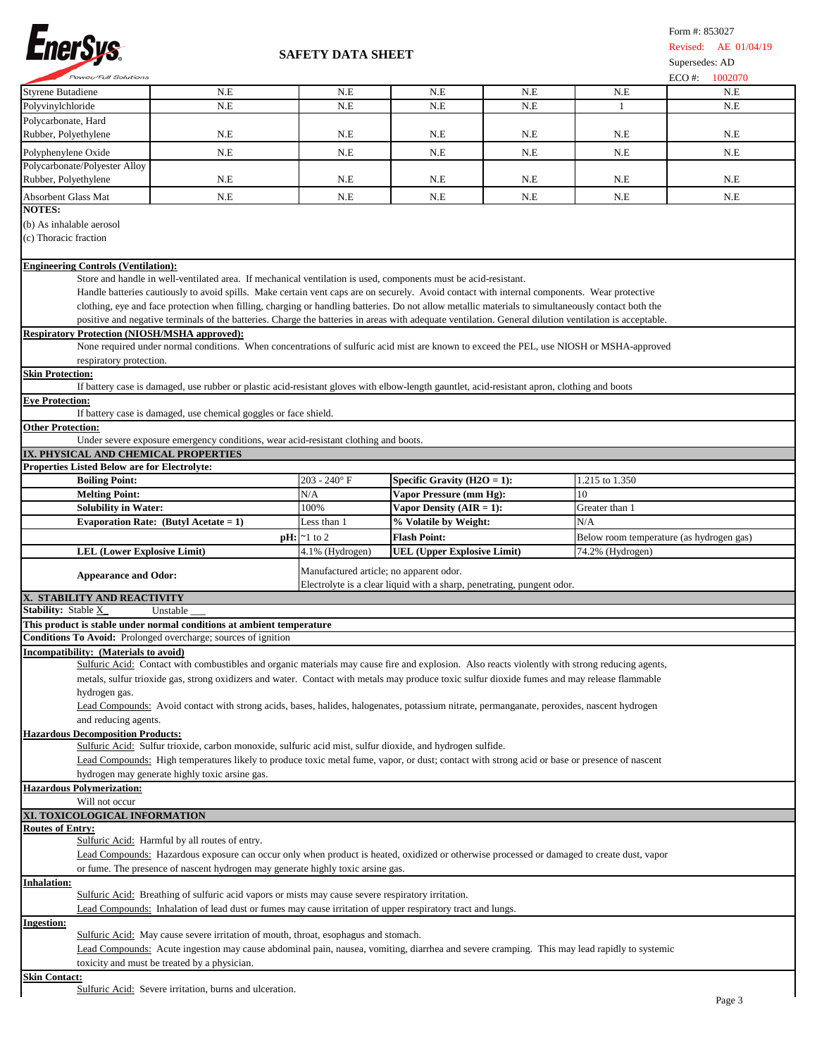

| <b>Power/Full Solutions</b>                                                                                                        |                                                                                                                                                        |                                         |                                                                        |     |                                          | $ECO \#$<br>1002070 |  |  |  |
|------------------------------------------------------------------------------------------------------------------------------------|--------------------------------------------------------------------------------------------------------------------------------------------------------|-----------------------------------------|------------------------------------------------------------------------|-----|------------------------------------------|---------------------|--|--|--|
|                                                                                                                                    | N.E                                                                                                                                                    | N.E                                     | N.E                                                                    | N.E | N.E                                      | N.E                 |  |  |  |
| Styrene Butadiene<br>Polyvinylchloride                                                                                             | N.E                                                                                                                                                    | N.E                                     | N.E                                                                    | N.E | 1                                        | N.E                 |  |  |  |
| Polycarbonate, Hard                                                                                                                |                                                                                                                                                        |                                         |                                                                        |     |                                          |                     |  |  |  |
|                                                                                                                                    |                                                                                                                                                        |                                         |                                                                        |     |                                          |                     |  |  |  |
| Rubber, Polyethylene                                                                                                               | N.E                                                                                                                                                    | N.E                                     | N.E                                                                    | N.E | N.E                                      | N.E                 |  |  |  |
| Polyphenylene Oxide                                                                                                                | N.E                                                                                                                                                    | N.E                                     | N.E                                                                    | N.E | N.E                                      | N.E                 |  |  |  |
| Polycarbonate/Polyester Alloy                                                                                                      |                                                                                                                                                        |                                         |                                                                        |     |                                          |                     |  |  |  |
| Rubber, Polyethylene                                                                                                               | N.E                                                                                                                                                    | N.E                                     | N.E                                                                    | N.E | N.E                                      | N.E                 |  |  |  |
|                                                                                                                                    |                                                                                                                                                        |                                         |                                                                        |     |                                          |                     |  |  |  |
| Absorbent Glass Mat                                                                                                                | N.E                                                                                                                                                    | N.E                                     | N.E                                                                    | N.E | N.E                                      | N.E                 |  |  |  |
| <b>NOTES:</b>                                                                                                                      |                                                                                                                                                        |                                         |                                                                        |     |                                          |                     |  |  |  |
| (b) As inhalable aerosol                                                                                                           |                                                                                                                                                        |                                         |                                                                        |     |                                          |                     |  |  |  |
| (c) Thoracic fraction                                                                                                              |                                                                                                                                                        |                                         |                                                                        |     |                                          |                     |  |  |  |
|                                                                                                                                    |                                                                                                                                                        |                                         |                                                                        |     |                                          |                     |  |  |  |
| <b>Engineering Controls (Ventilation):</b>                                                                                         |                                                                                                                                                        |                                         |                                                                        |     |                                          |                     |  |  |  |
|                                                                                                                                    | Store and handle in well-ventilated area. If mechanical ventilation is used, components must be acid-resistant.                                        |                                         |                                                                        |     |                                          |                     |  |  |  |
|                                                                                                                                    |                                                                                                                                                        |                                         |                                                                        |     |                                          |                     |  |  |  |
|                                                                                                                                    | Handle batteries cautiously to avoid spills. Make certain vent caps are on securely. Avoid contact with internal components. Wear protective           |                                         |                                                                        |     |                                          |                     |  |  |  |
|                                                                                                                                    | clothing, eye and face protection when filling, charging or handling batteries. Do not allow metallic materials to simultaneously contact both the     |                                         |                                                                        |     |                                          |                     |  |  |  |
|                                                                                                                                    | positive and negative terminals of the batteries. Charge the batteries in areas with adequate ventilation. General dilution ventilation is acceptable. |                                         |                                                                        |     |                                          |                     |  |  |  |
| <b>Respiratory Protection (NIOSH/MSHA approved):</b>                                                                               |                                                                                                                                                        |                                         |                                                                        |     |                                          |                     |  |  |  |
|                                                                                                                                    | None required under normal conditions. When concentrations of sulfuric acid mist are known to exceed the PEL, use NIOSH or MSHA-approved               |                                         |                                                                        |     |                                          |                     |  |  |  |
| respiratory protection.                                                                                                            |                                                                                                                                                        |                                         |                                                                        |     |                                          |                     |  |  |  |
| <b>Skin Protection:</b>                                                                                                            |                                                                                                                                                        |                                         |                                                                        |     |                                          |                     |  |  |  |
|                                                                                                                                    | If battery case is damaged, use rubber or plastic acid-resistant gloves with elbow-length gauntlet, acid-resistant apron, clothing and boots           |                                         |                                                                        |     |                                          |                     |  |  |  |
| <b>Eye Protection:</b>                                                                                                             |                                                                                                                                                        |                                         |                                                                        |     |                                          |                     |  |  |  |
|                                                                                                                                    |                                                                                                                                                        |                                         |                                                                        |     |                                          |                     |  |  |  |
|                                                                                                                                    | If battery case is damaged, use chemical goggles or face shield.                                                                                       |                                         |                                                                        |     |                                          |                     |  |  |  |
| <b>Other Protection:</b>                                                                                                           |                                                                                                                                                        |                                         |                                                                        |     |                                          |                     |  |  |  |
|                                                                                                                                    | Under severe exposure emergency conditions, wear acid-resistant clothing and boots.                                                                    |                                         |                                                                        |     |                                          |                     |  |  |  |
| IX. PHYSICAL AND CHEMICAL PROPERTIES                                                                                               |                                                                                                                                                        |                                         |                                                                        |     |                                          |                     |  |  |  |
| <b>Properties Listed Below are for Electrolyte:</b>                                                                                |                                                                                                                                                        |                                         |                                                                        |     |                                          |                     |  |  |  |
| <b>Boiling Point:</b>                                                                                                              |                                                                                                                                                        | $203 - 240$ °F                          | Specific Gravity $(H2O = 1)$ :                                         |     | 1.215 to 1.350                           |                     |  |  |  |
| <b>Melting Point:</b>                                                                                                              |                                                                                                                                                        | N/A                                     | <b>Vapor Pressure (mm Hg):</b>                                         |     | 10                                       |                     |  |  |  |
| <b>Solubility in Water:</b>                                                                                                        |                                                                                                                                                        | 100%                                    | Vapor Density $(AIR = 1)$ :                                            |     | Greater than 1                           |                     |  |  |  |
|                                                                                                                                    |                                                                                                                                                        |                                         |                                                                        |     |                                          |                     |  |  |  |
|                                                                                                                                    | Evaporation Rate: (Butyl Acetate = $1$ )                                                                                                               | Less than 1                             | % Volatile by Weight:                                                  |     | N/A                                      |                     |  |  |  |
|                                                                                                                                    |                                                                                                                                                        |                                         |                                                                        |     |                                          |                     |  |  |  |
|                                                                                                                                    |                                                                                                                                                        | $\mathbf{p}$ H: $\approx$ 1 to 2        | <b>Flash Point:</b>                                                    |     | Below room temperature (as hydrogen gas) |                     |  |  |  |
| <b>LEL (Lower Explosive Limit)</b>                                                                                                 |                                                                                                                                                        | 4.1% (Hydrogen)                         | <b>UEL (Upper Explosive Limit)</b>                                     |     | 74.2% (Hydrogen)                         |                     |  |  |  |
|                                                                                                                                    |                                                                                                                                                        |                                         |                                                                        |     |                                          |                     |  |  |  |
| <b>Appearance and Odor:</b>                                                                                                        |                                                                                                                                                        | Manufactured article; no apparent odor. |                                                                        |     |                                          |                     |  |  |  |
|                                                                                                                                    |                                                                                                                                                        |                                         | Electrolyte is a clear liquid with a sharp, penetrating, pungent odor. |     |                                          |                     |  |  |  |
|                                                                                                                                    |                                                                                                                                                        |                                         |                                                                        |     |                                          |                     |  |  |  |
|                                                                                                                                    | Unstable                                                                                                                                               |                                         |                                                                        |     |                                          |                     |  |  |  |
|                                                                                                                                    | This product is stable under normal conditions at ambient temperature                                                                                  |                                         |                                                                        |     |                                          |                     |  |  |  |
| <b>X. STABILITY AND REACTIVITY</b><br>Stability: Stable <b>X_</b> Unstable                                                         |                                                                                                                                                        |                                         |                                                                        |     |                                          |                     |  |  |  |
|                                                                                                                                    | Conditions To Avoid: Prolonged overcharge; sources of ignition                                                                                         |                                         |                                                                        |     |                                          |                     |  |  |  |
| Incompatibility: (Materials to avoid)                                                                                              |                                                                                                                                                        |                                         |                                                                        |     |                                          |                     |  |  |  |
|                                                                                                                                    | Sulfuric Acid: Contact with combustibles and organic materials may cause fire and explosion. Also reacts violently with strong reducing agents,        |                                         |                                                                        |     |                                          |                     |  |  |  |
|                                                                                                                                    | metals, sulfur trioxide gas, strong oxidizers and water. Contact with metals may produce toxic sulfur dioxide fumes and may release flammable          |                                         |                                                                        |     |                                          |                     |  |  |  |
| hydrogen gas.                                                                                                                      |                                                                                                                                                        |                                         |                                                                        |     |                                          |                     |  |  |  |
|                                                                                                                                    | Lead Compounds: Avoid contact with strong acids, bases, halides, halogenates, potassium nitrate, permanganate, peroxides, nascent hydrogen             |                                         |                                                                        |     |                                          |                     |  |  |  |
| and reducing agents.                                                                                                               |                                                                                                                                                        |                                         |                                                                        |     |                                          |                     |  |  |  |
|                                                                                                                                    |                                                                                                                                                        |                                         |                                                                        |     |                                          |                     |  |  |  |
|                                                                                                                                    | Sulfuric Acid: Sulfur trioxide, carbon monoxide, sulfuric acid mist, sulfur dioxide, and hydrogen sulfide.                                             |                                         |                                                                        |     |                                          |                     |  |  |  |
|                                                                                                                                    | Lead Compounds: High temperatures likely to produce toxic metal fume, vapor, or dust; contact with strong acid or base or presence of nascent          |                                         |                                                                        |     |                                          |                     |  |  |  |
|                                                                                                                                    |                                                                                                                                                        |                                         |                                                                        |     |                                          |                     |  |  |  |
|                                                                                                                                    | hydrogen may generate highly toxic arsine gas.                                                                                                         |                                         |                                                                        |     |                                          |                     |  |  |  |
|                                                                                                                                    |                                                                                                                                                        |                                         |                                                                        |     |                                          |                     |  |  |  |
| Will not occur                                                                                                                     |                                                                                                                                                        |                                         |                                                                        |     |                                          |                     |  |  |  |
|                                                                                                                                    |                                                                                                                                                        |                                         |                                                                        |     |                                          |                     |  |  |  |
| <b>Routes of Entry:</b>                                                                                                            |                                                                                                                                                        |                                         |                                                                        |     |                                          |                     |  |  |  |
|                                                                                                                                    | Sulfuric Acid: Harmful by all routes of entry.                                                                                                         |                                         |                                                                        |     |                                          |                     |  |  |  |
|                                                                                                                                    | Lead Compounds: Hazardous exposure can occur only when product is heated, oxidized or otherwise processed or damaged to create dust, vapor             |                                         |                                                                        |     |                                          |                     |  |  |  |
|                                                                                                                                    |                                                                                                                                                        |                                         |                                                                        |     |                                          |                     |  |  |  |
|                                                                                                                                    | or fume. The presence of nascent hydrogen may generate highly toxic arsine gas.                                                                        |                                         |                                                                        |     |                                          |                     |  |  |  |
| <b>Inhalation:</b>                                                                                                                 |                                                                                                                                                        |                                         |                                                                        |     |                                          |                     |  |  |  |
|                                                                                                                                    | Sulfuric Acid: Breathing of sulfuric acid vapors or mists may cause severe respiratory irritation.                                                     |                                         |                                                                        |     |                                          |                     |  |  |  |
|                                                                                                                                    | Lead Compounds: Inhalation of lead dust or fumes may cause irritation of upper respiratory tract and lungs.                                            |                                         |                                                                        |     |                                          |                     |  |  |  |
| <b>Hazardous Decomposition Products:</b><br><b>Hazardous Polymerization:</b><br>XI. TOXICOLOGICAL INFORMATION<br><b>Ingestion:</b> |                                                                                                                                                        |                                         |                                                                        |     |                                          |                     |  |  |  |
|                                                                                                                                    | Sulfuric Acid: May cause severe irritation of mouth, throat, esophagus and stomach.                                                                    |                                         |                                                                        |     |                                          |                     |  |  |  |
|                                                                                                                                    | Lead Compounds: Acute ingestion may cause abdominal pain, nausea, vomiting, diarrhea and severe cramping. This may lead rapidly to systemic            |                                         |                                                                        |     |                                          |                     |  |  |  |
|                                                                                                                                    | toxicity and must be treated by a physician.                                                                                                           |                                         |                                                                        |     |                                          |                     |  |  |  |
|                                                                                                                                    |                                                                                                                                                        |                                         |                                                                        |     |                                          |                     |  |  |  |
| <b>Skin Contact:</b>                                                                                                               | Sulfuric Acid: Severe irritation, burns and ulceration.                                                                                                |                                         |                                                                        |     |                                          |                     |  |  |  |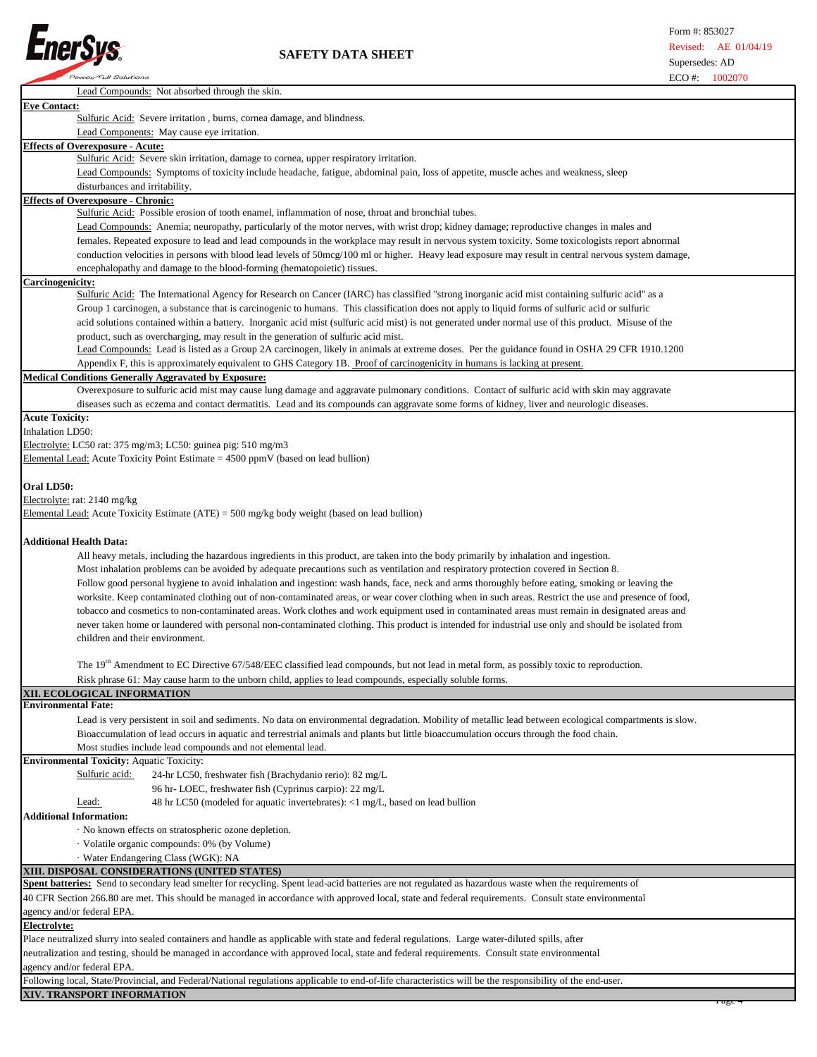

| Lead Compounds: Not absorbed through the skin.                                                                                                            |
|-----------------------------------------------------------------------------------------------------------------------------------------------------------|
| <b>Eye Contact:</b>                                                                                                                                       |
| Sulfuric Acid: Severe irritation, burns, cornea damage, and blindness.                                                                                    |
| Lead Components: May cause eye irritation.                                                                                                                |
| <b>Effects of Overexposure - Acute:</b>                                                                                                                   |
| Sulfuric Acid: Severe skin irritation, damage to cornea, upper respiratory irritation.                                                                    |
| Lead Compounds: Symptoms of toxicity include headache, fatigue, abdominal pain, loss of appetite, muscle aches and weakness, sleep                        |
| disturbances and irritability.                                                                                                                            |
| <b>Effects of Overexposure - Chronic:</b>                                                                                                                 |
| Sulfuric Acid: Possible erosion of tooth enamel, inflammation of nose, throat and bronchial tubes.                                                        |
| Lead Compounds: Anemia; neuropathy, particularly of the motor nerves, with wrist drop; kidney damage; reproductive changes in males and                   |
| females. Repeated exposure to lead and lead compounds in the workplace may result in nervous system toxicity. Some toxicologists report abnormal          |
| conduction velocities in persons with blood lead levels of 50mcg/100 ml or higher. Heavy lead exposure may result in central nervous system damage,       |
| encephalopathy and damage to the blood-forming (hematopoietic) tissues.                                                                                   |
| Carcinogenicity:                                                                                                                                          |
| Sulfuric Acid: The International Agency for Research on Cancer (IARC) has classified "strong inorganic acid mist containing sulfuric acid" as a           |
| Group 1 carcinogen, a substance that is carcinogenic to humans. This classification does not apply to liquid forms of sulfuric acid or sulfuric           |
| acid solutions contained within a battery. Inorganic acid mist (sulfuric acid mist) is not generated under normal use of this product. Misuse of the      |
| product, such as overcharging, may result in the generation of sulfuric acid mist.                                                                        |
| Lead Compounds: Lead is listed as a Group 2A carcinogen, likely in animals at extreme doses. Per the guidance found in OSHA 29 CFR 1910.1200              |
| Appendix F, this is approximately equivalent to GHS Category 1B. Proof of carcinogenicity in humans is lacking at present.                                |
| <b>Medical Conditions Generally Aggravated by Exposure:</b>                                                                                               |
| Overexposure to sulfuric acid mist may cause lung damage and aggravate pulmonary conditions. Contact of sulfuric acid with skin may aggravate             |
| diseases such as eczema and contact dermatitis. Lead and its compounds can aggravate some forms of kidney, liver and neurologic diseases.                 |
| <b>Acute Toxicity:</b>                                                                                                                                    |
| Inhalation LD50:                                                                                                                                          |
| Electrolyte: LC50 rat: 375 mg/m3; LC50: guinea pig: 510 mg/m3                                                                                             |
| Elemental Lead: Acute Toxicity Point Estimate = 4500 ppmV (based on lead bullion)                                                                         |
|                                                                                                                                                           |
| Oral LD50:                                                                                                                                                |
| Electrolyte: rat: 2140 mg/kg                                                                                                                              |
| Elemental Lead: Acute Toxicity Estimate (ATE) = 500 mg/kg body weight (based on lead bullion)                                                             |
|                                                                                                                                                           |
| <b>Additional Health Data:</b>                                                                                                                            |
| All heavy metals, including the hazardous ingredients in this product, are taken into the body primarily by inhalation and ingestion.                     |
|                                                                                                                                                           |
| Most inhalation problems can be avoided by adequate precautions such as ventilation and respiratory protection covered in Section 8.                      |
|                                                                                                                                                           |
| Follow good personal hygiene to avoid inhalation and ingestion: wash hands, face, neck and arms thoroughly before eating, smoking or leaving the          |
| worksite. Keep contaminated clothing out of non-contaminated areas, or wear cover clothing when in such areas. Restrict the use and presence of food,     |
| tobacco and cosmetics to non-contaminated areas. Work clothes and work equipment used in contaminated areas must remain in designated areas and           |
| never taken home or laundered with personal non-contaminated clothing. This product is intended for industrial use only and should be isolated from       |
| children and their environment.                                                                                                                           |
|                                                                                                                                                           |
| The 19 <sup>th</sup> Amendment to EC Directive 67/548/EEC classified lead compounds, but not lead in metal form, as possibly toxic to reproduction.       |
| Risk phrase 61: May cause harm to the unborn child, applies to lead compounds, especially soluble forms.                                                  |
| XII. ECOLOGICAL INFORMATION                                                                                                                               |
| <b>Environmental Fate:</b>                                                                                                                                |
| Lead is very persistent in soil and sediments. No data on environmental degradation. Mobility of metallic lead between ecological compartments is slow.   |
| Bioaccumulation of lead occurs in aquatic and terrestrial animals and plants but little bioaccumulation occurs through the food chain.                    |
| Most studies include lead compounds and not elemental lead.                                                                                               |
| <b>Environmental Toxicity: Aquatic Toxicity:</b>                                                                                                          |
| Sulfuric acid:<br>24-hr LC50, freshwater fish (Brachydanio rerio): 82 mg/L                                                                                |
| 96 hr-LOEC, freshwater fish (Cyprinus carpio): 22 mg/L                                                                                                    |
| 48 hr LC50 (modeled for aquatic invertebrates): <1 mg/L, based on lead bullion<br>Lead:                                                                   |
| <b>Additional Information:</b>                                                                                                                            |
| · No known effects on stratospheric ozone depletion.                                                                                                      |
| · Volatile organic compounds: 0% (by Volume)                                                                                                              |
| · Water Endangering Class (WGK): NA                                                                                                                       |
| XIII. DISPOSAL CONSIDERATIONS (UNITED STATES)                                                                                                             |
| Spent batteries: Send to secondary lead smelter for recycling. Spent lead-acid batteries are not regulated as hazardous waste when the requirements of    |
| 40 CFR Section 266.80 are met. This should be managed in accordance with approved local, state and federal requirements. Consult state environmental      |
| agency and/or federal EPA.                                                                                                                                |
| Electrolyte:                                                                                                                                              |
| Place neutralized slurry into sealed containers and handle as applicable with state and federal regulations. Large water-diluted spills, after            |
| neutralization and testing, should be managed in accordance with approved local, state and federal requirements. Consult state environmental              |
| agency and/or federal EPA.                                                                                                                                |
| Following local, State/Provincial, and Federal/National regulations applicable to end-of-life characteristics will be the responsibility of the end-user. |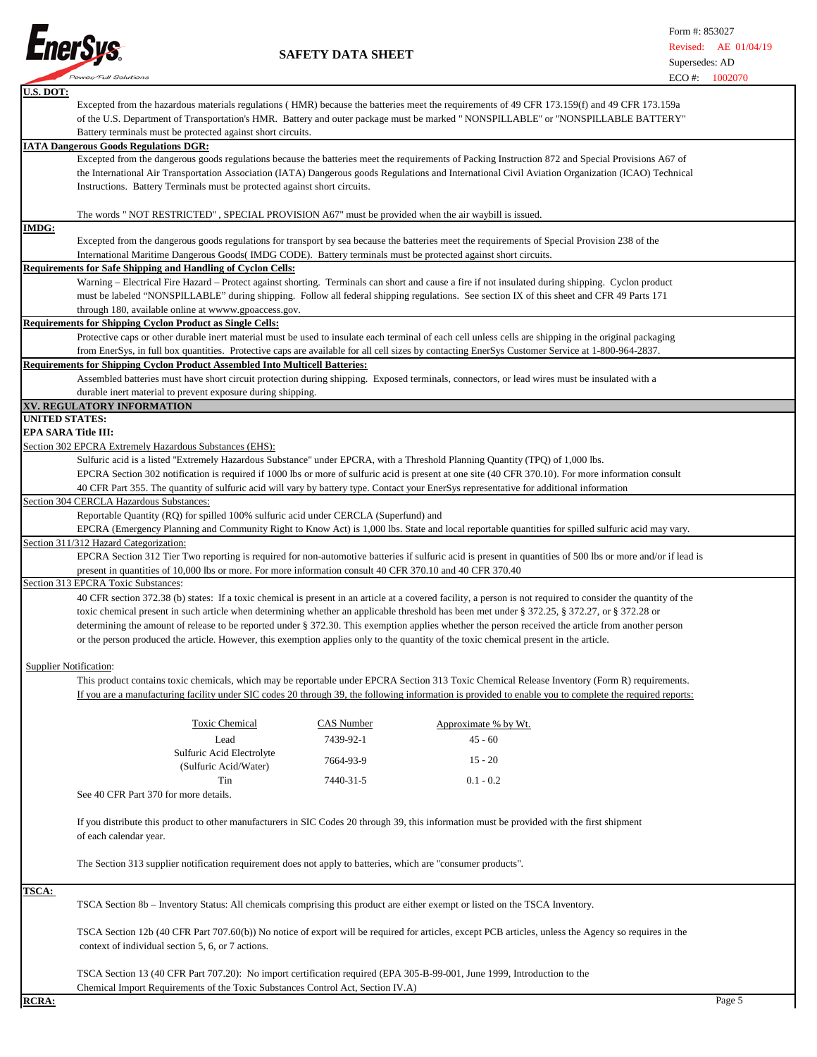

|                            | I present can point the                                                                                                                |            | EUU #:                                                                                                                                                         | <b>1002070</b> |
|----------------------------|----------------------------------------------------------------------------------------------------------------------------------------|------------|----------------------------------------------------------------------------------------------------------------------------------------------------------------|----------------|
| U.S. DOT:                  |                                                                                                                                        |            |                                                                                                                                                                |                |
|                            |                                                                                                                                        |            | Excepted from the hazardous materials regulations (HMR) because the batteries meet the requirements of 49 CFR 173.159(f) and 49 CFR 173.159a                   |                |
|                            |                                                                                                                                        |            | of the U.S. Department of Transportation's HMR. Battery and outer package must be marked "NONSPILLABLE" or "NONSPILLABLE BATTERY"                              |                |
|                            | Battery terminals must be protected against short circuits.                                                                            |            |                                                                                                                                                                |                |
|                            | <b>IATA Dangerous Goods Regulations DGR:</b>                                                                                           |            |                                                                                                                                                                |                |
|                            |                                                                                                                                        |            | Excepted from the dangerous goods regulations because the batteries meet the requirements of Packing Instruction 872 and Special Provisions A67 of             |                |
|                            |                                                                                                                                        |            | the International Air Transportation Association (IATA) Dangerous goods Regulations and International Civil Aviation Organization (ICAO) Technical             |                |
|                            | Instructions. Battery Terminals must be protected against short circuits.                                                              |            |                                                                                                                                                                |                |
|                            |                                                                                                                                        |            |                                                                                                                                                                |                |
|                            |                                                                                                                                        |            |                                                                                                                                                                |                |
|                            | The words " NOT RESTRICTED", SPECIAL PROVISION A67" must be provided when the air waybill is issued.                                   |            |                                                                                                                                                                |                |
| <u>IMDG:</u>               |                                                                                                                                        |            |                                                                                                                                                                |                |
|                            |                                                                                                                                        |            | Excepted from the dangerous goods regulations for transport by sea because the batteries meet the requirements of Special Provision 238 of the                 |                |
|                            | International Maritime Dangerous Goods (IMDG CODE). Battery terminals must be protected against short circuits.                        |            |                                                                                                                                                                |                |
|                            | <b>Requirements for Safe Shipping and Handling of Cyclon Cells:</b>                                                                    |            |                                                                                                                                                                |                |
|                            |                                                                                                                                        |            | Warning – Electrical Fire Hazard – Protect against shorting. Terminals can short and cause a fire if not insulated during shipping. Cyclon product             |                |
|                            |                                                                                                                                        |            | must be labeled "NONSPILLABLE" during shipping. Follow all federal shipping regulations. See section IX of this sheet and CFR 49 Parts 171                     |                |
|                            | through 180, available online at wwww.gpoaccess.gov.                                                                                   |            |                                                                                                                                                                |                |
|                            | <b>Requirements for Shipping Cyclon Product as Single Cells:</b>                                                                       |            |                                                                                                                                                                |                |
|                            |                                                                                                                                        |            | Protective caps or other durable inert material must be used to insulate each terminal of each cell unless cells are shipping in the original packaging        |                |
|                            |                                                                                                                                        |            | from EnerSys, in full box quantities. Protective caps are available for all cell sizes by contacting EnerSys Customer Service at 1-800-964-2837.               |                |
|                            | <b>Requirements for Shipping Cyclon Product Assembled Into Multicell Batteries:</b>                                                    |            |                                                                                                                                                                |                |
|                            |                                                                                                                                        |            | Assembled batteries must have short circuit protection during shipping. Exposed terminals, connectors, or lead wires must be insulated with a                  |                |
|                            |                                                                                                                                        |            |                                                                                                                                                                |                |
|                            | durable inert material to prevent exposure during shipping.                                                                            |            |                                                                                                                                                                |                |
| <b>UNITED STATES:</b>      | XV. REGULATORY INFORMATION                                                                                                             |            |                                                                                                                                                                |                |
|                            |                                                                                                                                        |            |                                                                                                                                                                |                |
| <b>EPA SARA Title III:</b> |                                                                                                                                        |            |                                                                                                                                                                |                |
|                            | Section 302 EPCRA Extremely Hazardous Substances (EHS):                                                                                |            |                                                                                                                                                                |                |
|                            | Sulfuric acid is a listed "Extremely Hazardous Substance" under EPCRA, with a Threshold Planning Quantity (TPQ) of 1,000 lbs.          |            |                                                                                                                                                                |                |
|                            |                                                                                                                                        |            | EPCRA Section 302 notification is required if 1000 lbs or more of sulfuric acid is present at one site (40 CFR 370.10). For more information consult           |                |
|                            |                                                                                                                                        |            | 40 CFR Part 355. The quantity of sulfuric acid will vary by battery type. Contact your EnerSys representative for additional information                       |                |
|                            | Section 304 CERCLA Hazardous Substances:                                                                                               |            |                                                                                                                                                                |                |
|                            | Reportable Quantity (RQ) for spilled 100% sulfuric acid under CERCLA (Superfund) and                                                   |            |                                                                                                                                                                |                |
|                            |                                                                                                                                        |            | EPCRA (Emergency Planning and Community Right to Know Act) is 1,000 lbs. State and local reportable quantities for spilled sulfuric acid may vary.             |                |
|                            | Section 311/312 Hazard Categorization:                                                                                                 |            |                                                                                                                                                                |                |
|                            |                                                                                                                                        |            | EPCRA Section 312 Tier Two reporting is required for non-automotive batteries if sulfuric acid is present in quantities of 500 lbs or more and/or if lead is   |                |
|                            | present in quantities of 10,000 lbs or more. For more information consult 40 CFR 370.10 and 40 CFR 370.40                              |            |                                                                                                                                                                |                |
|                            | Section 313 EPCRA Toxic Substances:                                                                                                    |            |                                                                                                                                                                |                |
|                            |                                                                                                                                        |            |                                                                                                                                                                |                |
|                            |                                                                                                                                        |            | 40 CFR section 372.38 (b) states: If a toxic chemical is present in an article at a covered facility, a person is not required to consider the quantity of the |                |
|                            |                                                                                                                                        |            | toxic chemical present in such article when determining whether an applicable threshold has been met under § 372.25, § 372.27, or § 372.28 or                  |                |
|                            |                                                                                                                                        |            | determining the amount of release to be reported under § 372.30. This exemption applies whether the person received the article from another person            |                |
|                            | or the person produced the article. However, this exemption applies only to the quantity of the toxic chemical present in the article. |            |                                                                                                                                                                |                |
|                            |                                                                                                                                        |            |                                                                                                                                                                |                |
|                            | <b>Supplier Notification:</b>                                                                                                          |            |                                                                                                                                                                |                |
|                            |                                                                                                                                        |            | This product contains toxic chemicals, which may be reportable under EPCRA Section 313 Toxic Chemical Release Inventory (Form R) requirements.                 |                |
|                            |                                                                                                                                        |            | If you are a manufacturing facility under SIC codes 20 through 39, the following information is provided to enable you to complete the required reports:       |                |
|                            |                                                                                                                                        |            |                                                                                                                                                                |                |
|                            | <b>Toxic Chemical</b>                                                                                                                  | CAS Number |                                                                                                                                                                |                |
|                            |                                                                                                                                        |            | Approximate % by Wt.                                                                                                                                           |                |
|                            | Lead                                                                                                                                   | 7439-92-1  | $45 - 60$                                                                                                                                                      |                |
|                            | Sulfuric Acid Electrolyte                                                                                                              | 7664-93-9  | $15 - 20$                                                                                                                                                      |                |
|                            | (Sulfuric Acid/Water)                                                                                                                  |            |                                                                                                                                                                |                |
|                            | Tin                                                                                                                                    | 7440-31-5  | $0.1 - 0.2$                                                                                                                                                    |                |
|                            | See 40 CFR Part 370 for more details.                                                                                                  |            |                                                                                                                                                                |                |
|                            |                                                                                                                                        |            |                                                                                                                                                                |                |
|                            |                                                                                                                                        |            | If you distribute this product to other manufacturers in SIC Codes 20 through 39, this information must be provided with the first shipment                    |                |
|                            | of each calendar year.                                                                                                                 |            |                                                                                                                                                                |                |
|                            |                                                                                                                                        |            |                                                                                                                                                                |                |
|                            |                                                                                                                                        |            |                                                                                                                                                                |                |
|                            | The Section 313 supplier notification requirement does not apply to batteries, which are "consumer products".                          |            |                                                                                                                                                                |                |
|                            |                                                                                                                                        |            |                                                                                                                                                                |                |
| TSCA:                      |                                                                                                                                        |            |                                                                                                                                                                |                |
|                            | TSCA Section 8b – Inventory Status: All chemicals comprising this product are either exempt or listed on the TSCA Inventory.           |            |                                                                                                                                                                |                |
|                            |                                                                                                                                        |            |                                                                                                                                                                |                |
|                            |                                                                                                                                        |            | TSCA Section 12b (40 CFR Part 707.60(b)) No notice of export will be required for articles, except PCB articles, unless the Agency so requires in the          |                |
|                            | context of individual section 5, 6, or 7 actions.                                                                                      |            |                                                                                                                                                                |                |
|                            |                                                                                                                                        |            |                                                                                                                                                                |                |
|                            | TSCA Section 13 (40 CFR Part 707.20): No import certification required (EPA 305-B-99-001, June 1999, Introduction to the               |            |                                                                                                                                                                |                |
|                            |                                                                                                                                        |            |                                                                                                                                                                |                |
|                            | Chemical Import Requirements of the Toxic Substances Control Act, Section IV.A)                                                        |            |                                                                                                                                                                |                |
| <b>RCRA:</b>               |                                                                                                                                        |            |                                                                                                                                                                | Page 5         |